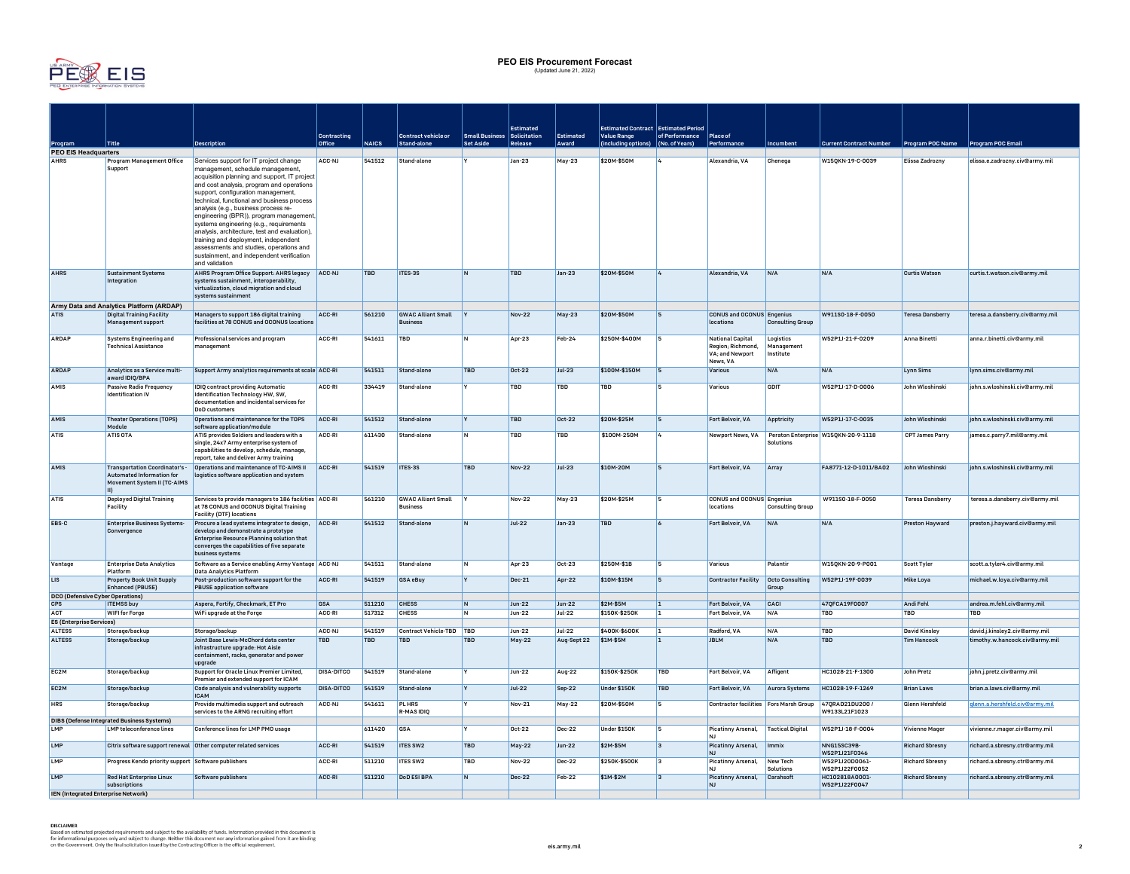

## **PEO EIS Procurement Forecast** (Updated June 21, 2022)

|                                               |                                                                                      |                                                                                                  |                   |              |                                              |                             | Estimated     |               | <b>Estimated Contract Estimated Period</b> |                         |                                                        |                                 |                                                      |                         |                                 |
|-----------------------------------------------|--------------------------------------------------------------------------------------|--------------------------------------------------------------------------------------------------|-------------------|--------------|----------------------------------------------|-----------------------------|---------------|---------------|--------------------------------------------|-------------------------|--------------------------------------------------------|---------------------------------|------------------------------------------------------|-------------------------|---------------------------------|
|                                               |                                                                                      |                                                                                                  | Contracting       |              | Contract vehicle or                          | Small Business Solicitation |               | Estimated     | Value Range                                | of Performance Place of |                                                        |                                 |                                                      |                         |                                 |
| Program<br><b>PEO EIS Headquarters</b>        | Title                                                                                | <b>Description</b>                                                                               | Office            | <b>NAICS</b> | Stand-alone                                  | <b>Set Aside</b>            | Release       | Award         | including options) (No. of Years)          |                         | Performance                                            | <b>Icumbent</b>                 | <b>Current Contract Number</b>                       | Program POC Name        | <b>Program POC Email</b>        |
| <b>AHRS</b>                                   | Program Management Office                                                            | Services support for IT project change                                                           | ACC-NJ            | 541512       | Stand-alone                                  |                             | $Jan-23$      | May-23        | \$20M-\$50M                                |                         | Alexandria, VA                                         | Chenega                         | W150KN-19-C-0039                                     | Elissa Zadrozny         | elissa.e.zadrozny.civ@army.mil  |
|                                               | Support                                                                              | management, schedule management,                                                                 |                   |              |                                              |                             |               |               |                                            |                         |                                                        |                                 |                                                      |                         |                                 |
|                                               |                                                                                      | acquisition planning and support, IT project<br>and cost analysis, program and operations        |                   |              |                                              |                             |               |               |                                            |                         |                                                        |                                 |                                                      |                         |                                 |
|                                               |                                                                                      | support, configuration management,                                                               |                   |              |                                              |                             |               |               |                                            |                         |                                                        |                                 |                                                      |                         |                                 |
|                                               |                                                                                      | technical, functional and business process<br>analysis (e.g., business process re-               |                   |              |                                              |                             |               |               |                                            |                         |                                                        |                                 |                                                      |                         |                                 |
|                                               |                                                                                      | engineering (BPR)), program management,                                                          |                   |              |                                              |                             |               |               |                                            |                         |                                                        |                                 |                                                      |                         |                                 |
|                                               |                                                                                      | systems engineering (e.g., requirements                                                          |                   |              |                                              |                             |               |               |                                            |                         |                                                        |                                 |                                                      |                         |                                 |
|                                               |                                                                                      | analysis, architecture, test and evaluation),<br>training and deployment, independent            |                   |              |                                              |                             |               |               |                                            |                         |                                                        |                                 |                                                      |                         |                                 |
|                                               |                                                                                      | assessments and studies, operations and                                                          |                   |              |                                              |                             |               |               |                                            |                         |                                                        |                                 |                                                      |                         |                                 |
|                                               |                                                                                      | sustainment, and independent verification<br>and validation                                      |                   |              |                                              |                             |               |               |                                            |                         |                                                        |                                 |                                                      |                         |                                 |
| <b>AHRS</b>                                   | Sustainment Systems                                                                  | AHRS Program Office Support: AHRS legacy ACC-NJ                                                  |                   | <b>TBD</b>   | ITES-3S                                      | IN.                         | <b>TBD</b>    | Jan-23        | \$20M-\$50M                                | $\overline{4}$          | Alexandria, VA                                         | N/A                             | N/A                                                  | <b>Curtis Watson</b>    | curtis.t.watson.civ@army.mil    |
|                                               | Integration                                                                          | systems sustainment, interoperability,<br>virtualization, cloud migration and cloud              |                   |              |                                              |                             |               |               |                                            |                         |                                                        |                                 |                                                      |                         |                                 |
|                                               |                                                                                      | systems sustainment                                                                              |                   |              |                                              |                             |               |               |                                            |                         |                                                        |                                 |                                                      |                         |                                 |
| Army Data and Analytics Platform (ARDAP)      |                                                                                      |                                                                                                  |                   |              |                                              |                             |               |               |                                            |                         |                                                        |                                 |                                                      |                         |                                 |
| <b>ATIS</b>                                   | Digital Training Facility                                                            | Managers to support 186 digital training<br>facilities at 78 CONUS and OCONUS location           | ACC-RI            | 561210       | <b>GWAC Alliant Small</b><br><b>Business</b> | <b>IY</b>                   | Nov-22        | May-23        | \$20M-\$50M                                | 5                       | <b>CONUS and OCONUS Engenius</b><br>locations          | <b>Consulting Group</b>         | W911S0-18-F-0050                                     | <b>Teresa Dansberry</b> | teresa.a.dansberry.civ@army.mil |
|                                               | <b>Management support</b>                                                            |                                                                                                  |                   |              |                                              |                             |               |               |                                            |                         |                                                        |                                 |                                                      |                         |                                 |
| <b>APDAP</b>                                  | <b>Systems Engineering and</b>                                                       | Professional services and program                                                                | ACC-PI            | 541611       | <b>TBD</b>                                   | IN.                         | Apr-23        | Feb-24        | \$250M-\$400M                              | 15                      | National Capital                                       | Logistics                       | W52P1J-21-F-0209                                     | Anna Binetti            | anna.r.binetti.civ@army.mil     |
|                                               | <b>Technical Assistance</b>                                                          | management                                                                                       |                   |              |                                              |                             |               |               |                                            |                         | Region; Richmond,<br>VA: and Newport                   | Management<br>Institute         |                                                      |                         |                                 |
|                                               |                                                                                      |                                                                                                  |                   |              |                                              |                             |               |               |                                            |                         | News, VA                                               |                                 |                                                      |                         |                                 |
| ARDAP                                         | Analytics as a Service multi-<br>award IDIO/BPA                                      | Support Army analytics requirements at scale ACC-RI                                              |                   | 541511       | Stand-alone                                  | <b>TBD</b>                  | Oct-22        | $Jul-23$      | \$100M-\$150M                              | ls.                     | <b>Various</b>                                         | N/A                             | N/A                                                  | Lynn Sims               | Ivnn.sims.civ@armv.mil          |
| AMIS                                          | Passive Radio Frequency                                                              | <b>IDIQ contract providing Automatic</b>                                                         | ACC-RI            | 334419       | Stand-alone                                  |                             | TBD           | TBD           | TBD                                        |                         | Various                                                | GDIT                            | W52P1J-17-D-0006                                     | John Wloshinski         | john.s.wloshinski.civ@army.mil  |
|                                               | <b>Identification IV</b>                                                             | Identification Technology HW, SW,<br>documentation and incidental services for                   |                   |              |                                              |                             |               |               |                                            |                         |                                                        |                                 |                                                      |                         |                                 |
|                                               |                                                                                      | DoD customers                                                                                    |                   |              |                                              |                             |               |               |                                            |                         |                                                        |                                 |                                                      |                         |                                 |
| AMIS                                          | <b>Theater Operations (TOPS)</b><br>Module                                           | Operations and maintenance for the TOPS<br>software application/module                           | ACC-RI            | 541512       | Stand-alone                                  |                             | <b>TBD</b>    | Oct-22        | \$20M-\$25M                                | 5                       | Fort Belvoir, VA                                       | Apptricity                      | W52P1J-17-C-0035                                     | John Wloshinski         | john.s.wloshinski.civ@army.mil  |
| <b>ATIS</b>                                   | <b>ATIS OTA</b>                                                                      | ATIS provides Soldiers and leaders with a                                                        | ACC-RI            | 611430       | Stand-alone                                  | N                           | <b>TBD</b>    | <b>TBD</b>    | \$100M-250M                                | L                       |                                                        |                                 | Newport News, VA Peraton Enterprise W15QKN-20-9-1118 | <b>CPT James Parry</b>  | james.c.parry7.mil@army.mil     |
|                                               |                                                                                      | single, 24x7 Army enterprise system of<br>capabilities to develop, schedule, manage,             |                   |              |                                              |                             |               |               |                                            |                         |                                                        | Solutions                       |                                                      |                         |                                 |
|                                               |                                                                                      | report, take and deliver Army training                                                           |                   |              |                                              |                             |               |               |                                            |                         |                                                        |                                 |                                                      |                         |                                 |
| AMIS                                          | <b>Transportation Coordinator's -</b>                                                | Operations and maintenance of TC-AIMS II                                                         | ACC-RI            | 541519       | ITES-3S                                      | <b>TBD</b>                  | <b>Nov-22</b> | Jul-23        | \$10M-20M                                  | 5                       | Fort Belvoir, VA                                       | Array                           | FA8771-12-D-1011/BA02                                | John Wloshinski         | iohn.s.wloshinski.civ@armv.mil  |
|                                               | Automated Information for<br>Movement System II (TC-AIMS                             | logistics software application and system                                                        |                   |              |                                              |                             |               |               |                                            |                         |                                                        |                                 |                                                      |                         |                                 |
|                                               | m                                                                                    |                                                                                                  |                   |              |                                              |                             |               |               |                                            |                         |                                                        |                                 |                                                      |                         |                                 |
| <b>ATIS</b>                                   | <b>Deployed Digital Training</b><br>Facility                                         | Services to provide managers to 186 facilities ACC-RI<br>at 78 CONUS and OCONUS Digital Training |                   | 561210       | <b>GWAC Alliant Small</b><br><b>Business</b> |                             | <b>Nov-22</b> | <b>May-23</b> | \$20M-\$25M                                |                         | <b>CONUS and OCONUS Engenius</b><br>locations          | <b>Consulting Group</b>         | W911S0-18-F-0050                                     | <b>Teresa Dansberry</b> | teresa.a.dansberry.civ@army.mil |
|                                               |                                                                                      | <b>Facility (DTF) locations</b>                                                                  |                   |              |                                              |                             |               |               |                                            |                         |                                                        |                                 |                                                      |                         |                                 |
| EBS-C                                         | <b>Enterprise Business Systems-</b>                                                  | Procure a lead systems integrator to design, ACC-RI<br>develop and demonstrate a prototype       |                   | 541512       | Stand-alone                                  | IN.                         | $Jul-22$      | $Jan-23$      | TBD                                        | $\overline{6}$          | Fort Belvoir, VA                                       | N/A                             | N/A                                                  | <b>Preston Havward</b>  | preston.j.hayward.civ@army.mil  |
|                                               | Convergence                                                                          | Enterprise Resource Planning solution that                                                       |                   |              |                                              |                             |               |               |                                            |                         |                                                        |                                 |                                                      |                         |                                 |
|                                               |                                                                                      | converges the capabilities of five separate                                                      |                   |              |                                              |                             |               |               |                                            |                         |                                                        |                                 |                                                      |                         |                                 |
| Vantage                                       | <b>Enterprise Data Analytics</b>                                                     | business systems<br>Software as a Service enabling Army Vantage   ACC-NJ                         |                   | 541511       | Stand-alone                                  | IN.                         | Apr-23        | $0c$ t-23     | \$250M-\$1B                                | ls.                     | Various                                                | Palantir                        | W150KN-20-9-P001                                     | <b>Scott Tyler</b>      | scott.a.tyler4.civ@army.mil     |
|                                               | Platform                                                                             | <b>Data Analytics Platform</b>                                                                   |                   |              |                                              |                             |               |               |                                            |                         |                                                        |                                 |                                                      |                         |                                 |
| LIS                                           | <b>Property Book Unit Supply</b><br>Enhanced (PBUSE)                                 | Post-production software support for the<br><b>PBUSE</b> application software                    | ACC-RI            | 541519       | <b>GSA eBuv</b>                              | <b>Y</b>                    | Dec-21        | Apr-22        | \$10M-\$15M                                | <b>5</b>                | <b>Contractor Facility</b>                             | <b>Octo Consulting</b><br>Group | W52P1J-19F-0039                                      | Mike Lova               | michael.w.lova.civ@armv.mil     |
| <b>DCO (Defensive Cyber Operations)</b>       |                                                                                      |                                                                                                  |                   |              |                                              |                             |               |               |                                            |                         |                                                        |                                 |                                                      |                         |                                 |
| CPS                                           | <b>ITEMSS buy</b>                                                                    | Aspera, Fortify, Checkmark, ET Pro                                                               | <b>GSA</b>        | 511210       | <b>CHESS</b>                                 | <b>N</b>                    | Jun-22        | $Jun-22$      | \$2M-\$5M                                  | 11.                     | Fort Belvoir, VA                                       | CACI                            | 470FCA19F0007                                        | Andi Fehl               | andrea.m.fehl.civ@army.mil      |
| <b>ACT</b><br><b>ES (Enterprise Services)</b> | <b>WIFI for Forge</b>                                                                | WiFi upgrade at the Forge                                                                        | ACC-RI            | 517312       | <b>CHESS</b>                                 | N                           | Jun-22        | Jul-22        | \$150K-\$250K                              | $\vert$ 1               | Fort Belvoir, VA                                       | N/A                             | <b>TBD</b>                                           | <b>TBD</b>              | <b>TBD</b>                      |
| <b>ALTESS</b>                                 | Storage/backup                                                                       | Storage/backup                                                                                   | ACC-NJ            | 541519       | Contract Vehicle-TBD                         | TBD                         | Jun-22        | $Jul-22$      | \$400K-\$600K                              | 11.                     | Radford, VA                                            | N/A                             | TBD                                                  | <b>David Kinsley</b>    | david.j.kinsley2.civ@army.mil   |
| <b>ALTESS</b>                                 | Storage/backup                                                                       | Joint Base Lewis-McChord data center                                                             | <b>TBD</b>        | <b>TBD</b>   | <b>TBD</b>                                   | <b>TBD</b>                  | May-22        | Aug-Sept 22   | \$1M-\$5M                                  | 1                       | <b>JBLM</b>                                            | N/A                             | <b>TBD</b>                                           | <b>Tim Hancock</b>      | timothy.w.hancock.civ@army.mil  |
|                                               |                                                                                      | infrastructure upgrade: Hot Aisle<br>containment, racks, generator and power                     |                   |              |                                              |                             |               |               |                                            |                         |                                                        |                                 |                                                      |                         |                                 |
|                                               |                                                                                      | upgrade                                                                                          |                   |              |                                              |                             |               |               |                                            |                         |                                                        |                                 |                                                      |                         |                                 |
| EC2M                                          | Storage/backup                                                                       | Support for Oracle Linux Premier Limited,                                                        | <b>DISA-DITCO</b> | 541519       | Stand-alone                                  |                             | Jun-22        | Aug-22        | \$150K-\$250K                              | <b>TBD</b>              | Fort Belvoir, VA                                       | Affigent                        | HC1028-21-F-1300                                     | John Pretz              | john.j.pretz.civ@army.mil       |
| EC <sub>2M</sub>                              | Storage/backup                                                                       | Premier and extended support for ICAM<br>Code analysis and vulnerability supports                | <b>DISA-DITCO</b> | 541519       | Stand-alone                                  |                             | $Jul-22$      | $Sep-22$      | Under \$150K                               | <b>TBD</b>              | Fort Belvoir, VA                                       | Aurora Systems                  | HC1028-19-F-1269                                     | <b>Brian Laws</b>       | brian.a.laws.civ@army.mil       |
| <b>HRS</b>                                    | Storage/backup                                                                       | <b>ICAM</b><br>Provide multimedia support and outreach                                           | ACC-NJ            | 541611       | PL HRS                                       | I۷                          | Nov-21        | May-22        | \$20M-\$50M                                | <b>S</b>                | Contractor facilities Fors Marsh Group 47QRAD21DU200 / |                                 |                                                      | <b>Glenn Hershfeld</b>  | glenn.a.hershfeld.civ@armv.mil  |
|                                               |                                                                                      | services to the ARNG recruiting effort                                                           |                   |              | <b>R-MAS IDIO</b>                            |                             |               |               |                                            |                         |                                                        |                                 | W9133L21F1023                                        |                         |                                 |
| LMP                                           | <b>DIBS (Defense Integrated Business Systems)</b><br><b>LMP</b> teleconference lines | Conference lines for LMP PMO usage                                                               |                   | 611420       | <b>GSA</b>                                   |                             | Oct-22        | Dec-22        | Under \$150K                               |                         | Picatinny Arsenal.                                     | <b>Tactical Digital</b>         | W52P1J-18-F-0004                                     | Vivienne Mager          | vivienne.r.mager.civ@armv.mil   |
|                                               |                                                                                      |                                                                                                  |                   |              |                                              |                             |               |               |                                            |                         | <b>NJ</b>                                              |                                 |                                                      |                         |                                 |
| LMP                                           |                                                                                      | Citrix software support renewal Other computer related services                                  | ACC-RI            | 541519       | <b>ITES SW2</b>                              | <b>TBD</b>                  | May-22        | $Jun-22$      | \$2M-\$5M                                  | lз                      | Picatinny Arsenal,<br><b>NJ</b>                        | Immix                           | NNG15SC39B-<br>W52P1J21F0346                         | <b>Richard Sbresny</b>  | richard.a.sbresny.ctr@army.mil  |
| LMP                                           | Progress Kendo priority support Software publishers                                  |                                                                                                  | ACC-RI            | 511210       | ITES SW2                                     | TBD                         | Nov-22        | Dec-22        | \$250K-\$500K                              | lз                      | Picatinny Arsenal,                                     | New Tech<br>Solutions           | W52P1J20D0061-<br>W52P1J22F0052                      | <b>Richard Sbresny</b>  | richard.a.sbresny.ctr@army.mil  |
| <b>LMP</b>                                    | <b>Red Hat Enterprise Linux</b>                                                      | Software publishers                                                                              | ACC-RI            | 511210       | DoD ESI BPA                                  | <b>N</b>                    | Dec-22        | Feb-22        | \$1M-\$2M                                  | lз.                     | Picatinny Arsenal,                                     | Carahsoft                       | HC102818A0001                                        | <b>Richard Shresny</b>  | richard.a.sbresny.ctr@army.mil  |
|                                               | subscriptions                                                                        |                                                                                                  |                   |              |                                              |                             |               |               |                                            |                         | <b>NJ</b>                                              |                                 | W52P1J22F0047                                        |                         |                                 |
| IEN (Integrated Enterprise Network)           |                                                                                      |                                                                                                  |                   |              |                                              |                             |               |               |                                            |                         |                                                        |                                 |                                                      |                         |                                 |